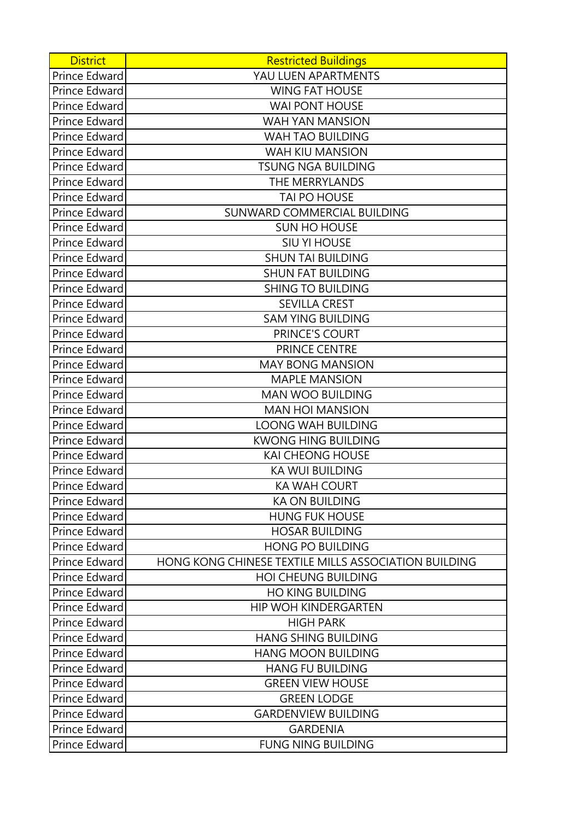| <b>District</b> | <b>Restricted Buildings</b>                          |
|-----------------|------------------------------------------------------|
| Prince Edward   | YAU LUEN APARTMENTS                                  |
| Prince Edward   | <b>WING FAT HOUSE</b>                                |
| Prince Edward   | <b>WAI PONT HOUSE</b>                                |
| Prince Edward   | WAH YAN MANSION                                      |
| Prince Edward   | WAH TAO BUILDING                                     |
| Prince Edward   | <b>WAH KIU MANSION</b>                               |
| Prince Edward   | <b>TSUNG NGA BUILDING</b>                            |
| Prince Edward   | THE MERRYLANDS                                       |
| Prince Edward   | TAI PO HOUSE                                         |
| Prince Edward   | SUNWARD COMMERCIAL BUILDING                          |
| Prince Edward   | <b>SUN HO HOUSE</b>                                  |
| Prince Edward   | <b>SIU YI HOUSE</b>                                  |
| Prince Edward   | <b>SHUN TAI BUILDING</b>                             |
| Prince Edward   | <b>SHUN FAT BUILDING</b>                             |
| Prince Edward   | <b>SHING TO BUILDING</b>                             |
| Prince Edward   | <b>SEVILLA CREST</b>                                 |
| Prince Edward   | <b>SAM YING BUILDING</b>                             |
| Prince Edward   | PRINCE'S COURT                                       |
| Prince Edward   | PRINCE CENTRE                                        |
| Prince Edward   | <b>MAY BONG MANSION</b>                              |
| Prince Edward   | <b>MAPLE MANSION</b>                                 |
| Prince Edward   | <b>MAN WOO BUILDING</b>                              |
| Prince Edward   | <b>MAN HOI MANSION</b>                               |
| Prince Edward   | <b>LOONG WAH BUILDING</b>                            |
| Prince Edward   | <b>KWONG HING BUILDING</b>                           |
| Prince Edward   | <b>KAI CHEONG HOUSE</b>                              |
| Prince Edward   | <b>KA WUI BUILDING</b>                               |
| Prince Edward   | <b>KA WAH COURT</b>                                  |
| Prince Edward   | <b>KA ON BUILDING</b>                                |
| Prince Edward   | <b>HUNG FUK HOUSE</b>                                |
| Prince Edward   | <b>HOSAR BUILDING</b>                                |
| Prince Edward   | <b>HONG PO BUILDING</b>                              |
| Prince Edward   | HONG KONG CHINESE TEXTILE MILLS ASSOCIATION BUILDING |
| Prince Edward   | <b>HOI CHEUNG BUILDING</b>                           |
| Prince Edward   | <b>HO KING BUILDING</b>                              |
| Prince Edward   | <b>HIP WOH KINDERGARTEN</b>                          |
| Prince Edward   | <b>HIGH PARK</b>                                     |
| Prince Edward   | <b>HANG SHING BUILDING</b>                           |
| Prince Edward   | <b>HANG MOON BUILDING</b>                            |
| Prince Edward   | <b>HANG FU BUILDING</b>                              |
| Prince Edward   | <b>GREEN VIEW HOUSE</b>                              |
| Prince Edward   | <b>GREEN LODGE</b>                                   |
| Prince Edward   | <b>GARDENVIEW BUILDING</b>                           |
| Prince Edward   | <b>GARDENIA</b>                                      |
| Prince Edward   | <b>FUNG NING BUILDING</b>                            |